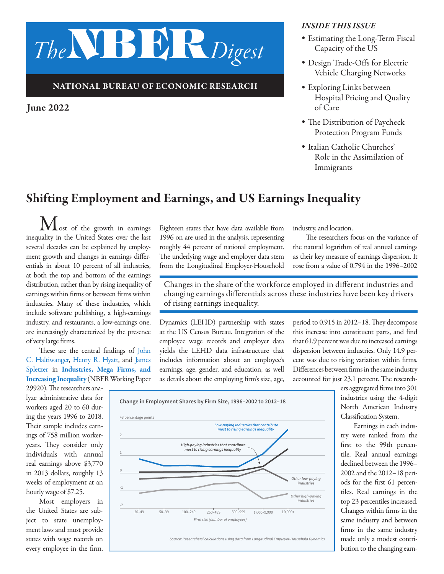# *The*NBER*Digest*

#### NATIONAL BUREAU OF ECONOMIC RESEARCH

June 2022

#### *INSIDE THIS ISSUE*

- *•* Estimating the Long-Term Fiscal Capacity of the US
- *•* Design Trade-Offs for Electric Vehicle Charging Networks
- *•* Exploring Links between Hospital Pricing and Quality of Care
- *•* The Distribution of Paycheck Protection Program Funds
- *•* Italian Catholic Churches' Role in the Assimilation of Immigrants

## Shifting Employment and Earnings, and US Earnings Inequality

 $M_{\text{ost}}$  of the growth in earnings inequality in the United States over the last several decades can be explained by employment growth and changes in earnings differentials in about 10 percent of all industries, at both the top and bottom of the earnings distribution, rather than by rising inequality of earnings within firms or between firms within industries. Many of these industries, which include software publishing, a high-earnings industry, and restaurants, a low-earnings one, are increasingly characterized by the presence of very large firms.

These are the central findings of [John](https://www.nber.org/people/john_haltiwanger?page=1&perPage=50) [C. Haltiwanger,](https://www.nber.org/people/john_haltiwanger?page=1&perPage=50) [Henry R. Hyatt](https://www.nber.org/people/henry_hyatt?page=1&perPage=50), and [James](https://www.nber.org/people/james_spletzer?page=1&perPage=50)  [Spletzer](https://www.nber.org/people/james_spletzer?page=1&perPage=50) in [Industries, Mega Firms, and](https://www.nber.org/papers/w29920)  [Increasing Inequality](https://www.nber.org/papers/w29920) (NBER Working Paper

29920). The researchers analyze administrative data for workers aged 20 to 60 during the years 1996 to 2018. Their sample includes earnings of 758 million workeryears. They consider only individuals with annual real earnings above \$3,770 in 2013 dollars, roughly 13 weeks of employment at an hourly wage of \$7.25.

Most employers in the United States are subject to state unemployment laws and must provide states with wage records on every employee in the firm.

Eighteen states that have data available from 1996 on are used in the analysis, representing roughly 44 percent of national employment. The underlying wage and employer data stem from the Longitudinal Employer-Household

industry, and location.

The researchers focus on the variance of the natural logarithm of real annual earnings as their key measure of earnings dispersion. It rose from a value of 0.794 in the 1996–2002

Changes in the share of the workforce employed in different industries and changing earnings differentials across these industries have been key drivers of rising earnings inequality.

Dynamics (LEHD) partnership with states at the US Census Bureau. Integration of the employee wage records and employer data yields the LEHD data infrastructure that includes information about an employee's earnings, age, gender, and education, as well as details about the employing firm's size, age,

period to 0.915 in 2012–18. They decompose this increase into constituent parts, and find that 61.9 percent was due to increased earnings dispersion between industries. Only 14.9 percent was due to rising variation within firms. Differences between firms in the same industry accounted for just 23.1 percent. The research-

> ers aggregated firms into 301 industries using the 4-digit North American Industry Classification System.

Earnings in each industry were ranked from the first to the 99th percentile. Real annual earnings declined between the 1996– 2002 and the 2012–18 periods for the first 61 percentiles. Real earnings in the top 23 percentiles increased. Changes within firms in the same industry and between firms in the same industry made only a modest contribution to the changing earn-

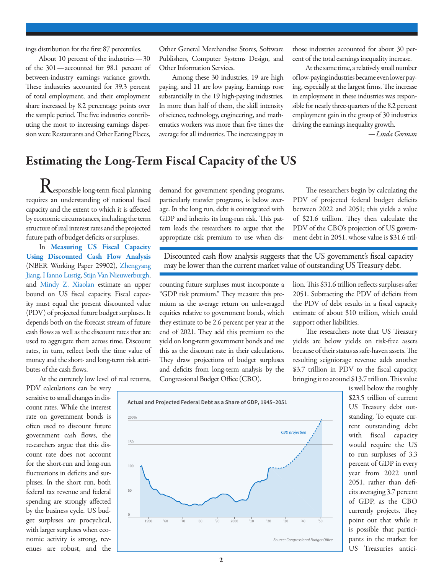ings distribution for the first 87 percentiles.

About 10 percent of the industries—30 of the 301—accounted for 98.1 percent of between-industry earnings variance growth. These industries accounted for 39.3 percent of total employment, and their employment share increased by 8.2 percentage points over the sample period. The five industries contributing the most to increasing earnings dispersion were Restaurants and Other Eating Places,

Other General Merchandise Stores, Software Publishers, Computer Systems Design, and Other Information Services.

Among these 30 industries, 19 are high paying, and 11 are low paying. Earnings rose substantially in the 19 high-paying industries. In more than half of them, the skill intensity of science, technology, engineering, and mathematics workers was more than five times the average for all industries. The increasing pay in those industries accounted for about 30 percent of the total earnings inequality increase.

At the same time, a relatively small number of low-paying industries became even lower paying, especially at the largest firms. The increase in employment in these industries was responsible for nearly three-quarters of the 8.2 percent employment gain in the group of 30 industries driving the earnings inequality growth.

*—Linda Gorman* 

## Estimating the Long-Term Fiscal Capacity of the US

**Responsible long-term fiscal planning** requires an understanding of national fiscal capacity and the extent to which it is affected by economic circumstances, including the term structure of real interest rates and the projected future path of budget deficits or surpluses.

In [Measuring US Fiscal Capacity](https://www.nber.org/papers/w29902)  [Using Discounted Cash Flow Analysis](https://www.nber.org/papers/w29902) (NBER Working Paper 29902), [Zhengyang](https://www.nber.org/people/zhengyang_jiang) [Jiang](https://www.nber.org/people/zhengyang_jiang), [Hanno Lustig](https://www.nber.org/people/hanno_lustig), [Stijn Van Nieuwerburgh,](https://www.nber.org/people/stijn_vannieuwerburgh) and [Mindy Z. Xiaolan](https://www.nber.org/people/mindy_xiaolan) estimate an upper bound on US fiscal capacity. Fiscal capacity must equal the present discounted value (PDV) of projected future budget surpluses. It depends both on the forecast stream of future cash flows as well as the discount rates that are used to aggregate them across time. Discount rates, in turn, reflect both the time value of money and the short- and long-term risk attributes of the cash flows.

At the currently low level of real returns,

PDV calculations can be very sensitive to small changes in discount rates. While the interest rate on government bonds is often used to discount future government cash flows, the researchers argue that this discount rate does not account for the short-run and long-run fluctuations in deficits and surpluses. In the short run, both federal tax revenue and federal spending are strongly affected by the business cycle. US budget surpluses are procyclical, with larger surpluses when economic activity is strong, revenues are robust, and the

demand for government spending programs, particularly transfer programs, is below average. In the long run, debt is cointegrated with GDP and inherits its long-run risk. This pattern leads the researchers to argue that the appropriate risk premium to use when dis-

The researchers begin by calculating the PDV of projected federal budget deficits between 2022 and 2051; this yields a value of \$21.6 trillion. They then calculate the PDV of the CBO's projection of US government debt in 2051, whose value is \$31.6 tril-

Discounted cash flow analysis suggests that the US government's fiscal capacity may be lower than the current market value of outstanding US Treasury debt.

counting future surpluses must incorporate a "GDP risk premium." They measure this premium as the average return on unleveraged equities relative to government bonds, which they estimate to be 2.6 percent per year at the end of 2021. They add this premium to the yield on long-term government bonds and use this as the discount rate in their calculations. They draw projections of budget surpluses and deficits from long-term analysis by the Congressional Budget Office (CBO).

lion. This \$31.6 trillion reflects surpluses after 2051. Subtracting the PDV of deficits from the PDV of debt results in a fiscal capacity estimate of about \$10 trillion, which could support other liabilities.

The researchers note that US Treasury yields are below yields on risk-free assets because of their status as safe-haven assets. The resulting seigniorage revenue adds another \$3.7 trillion in PDV to the fiscal capacity, bringing it to around \$13.7 trillion. This value

> is well below the roughly \$23.5 trillion of current US Treasury debt outstanding. To equate current outstanding debt with fiscal capacity would require the US to run surpluses of 3.3 percent of GDP in every year from 2022 until 2051, rather than deficits averaging 3.7 percent of GDP, as the CBO currently projects. They point out that while it is possible that participants in the market for US Treasuries antici-

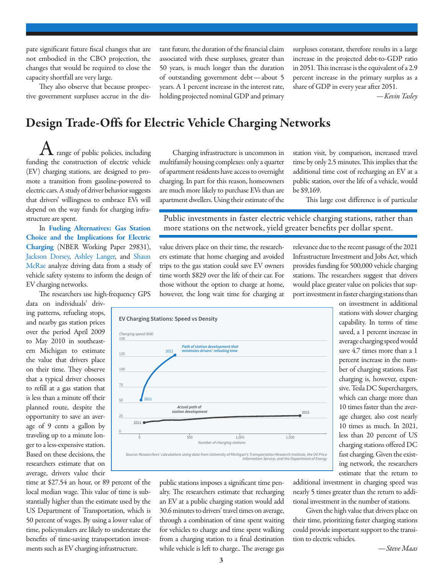pate significant future fiscal changes that are not embodied in the CBO projection, the changes that would be required to close the capacity shortfall are very large.

They also observe that because prospective government surpluses accrue in the distant future, the duration of the financial claim associated with these surpluses, greater than 50 years, is much longer than the duration of outstanding government debt—about 5 years. A 1 percent increase in the interest rate, holding projected nominal GDP and primary surpluses constant, therefore results in a large increase in the projected debt-to-GDP ratio in 2051. This increase is the equivalent of a 2.9 percent increase in the primary surplus as a share of GDP in every year after 2051.

*—Kevin Tasley*

### Design Trade-Offs for Electric Vehicle Charging Networks

 $\Lambda$  range of public policies, including funding the construction of electric vehicle (EV) charging stations, are designed to promote a transition from gasoline-powered to electric cars. A study of driver behavior suggests that drivers' willingness to embrace EVs will depend on the way funds for charging infrastructure are spent.

In [Fueling Alternatives: Gas Station](https://www.nber.org/papers/w29831) [Choice and the Implications for Electric](https://www.nber.org/papers/w29831)  [Charging](https://www.nber.org/papers/w29831) (NBER Working Paper 29831), [Jackson Dorsey,](https://www.nber.org/people/jacksondorsey?page=1&perPage=50) [Ashley Langer,](https://www.nber.org/people/ashley_langer?page=1&perPage=50) and [Shaun](https://www.nber.org/people/shaun_mcrae?page=1&perPage=50)  [McRae](https://www.nber.org/people/shaun_mcrae?page=1&perPage=50) analyze driving data from a study of vehicle safety systems to inform the design of EV charging networks.

The researchers use high-frequency GPS

data on individuals' driving patterns, refueling stops, and nearby gas station prices over the period April 2009 to May 2010 in southeastern Michigan to estimate the value that drivers place on their time. They observe that a typical driver chooses to refill at a gas station that is less than a minute off their planned route, despite the opportunity to save an average of 9 cents a gallon by traveling up to a minute longer to a less-expensive station. Based on these decisions, the researchers estimate that on average, drivers value their

time at \$27.54 an hour, or 89 percent of the local median wage. This value of time is substantially higher than the estimate used by the US Department of Transportation, which is 50 percent of wages. By using a lower value of time, policymakers are likely to understate the benefits of time-saving transportation investments such as EV charging infrastructure.

Charging infrastructure is uncommon in multifamily housing complexes: only a quarter of apartment residents have access to overnight charging. In part for this reason, homeowners are much more likely to purchase EVs than are apartment dwellers. Using their estimate of the

station visit, by comparison, increased travel time by only 2.5 minutes. This implies that the additional time cost of recharging an EV at a public station, over the life of a vehicle, would be \$9,169.

This large cost difference is of particular

Public investments in faster electric vehicle charging stations, rather than more stations on the network, yield greater benefits per dollar spent.

value drivers place on their time, the researchers estimate that home charging and avoided trips to the gas station could save EV owners time worth \$829 over the life of their car. For those without the option to charge at home, however, the long wait time for charging at

relevance due to the recent passage of the 2021 Infrastructure Investment and Jobs Act, which provides funding for 500,000 vehicle charging stations. The researchers suggest that drivers would place greater value on policies that support investment in faster charging stations than



public stations imposes a significant time penalty. The researchers estimate that recharging an EV at a public charging station would add 30.6 minutes to drivers' travel times on average, through a combination of time spent waiting for vehicles to charge and time spent walking from a charging station to a final destination while vehicle is left to charge.. The average gas

on investment in additional stations with slower charging capability. In terms of time saved, a 1 percent increase in average charging speed would save 4.7 times more than a 1 percent increase in the number of charging stations. Fast charging is, however, expensive. Tesla DC Superchargers, which can charge more than 10 times faster than the average charger, also cost nearly 10 times as much. In 2021, less than 20 percent of US charging stations offered DC fast charging. Given the existing network, the researchers estimate that the return to

additional investment in charging speed was nearly 5 times greater than the return to additional investment in the number of stations.

Given the high value that drivers place on their time, prioritizing faster charging stations could provide important support to the transition to electric vehicles.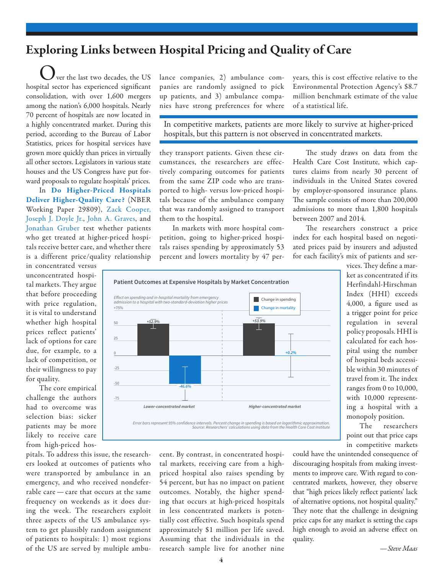# Exploring Links between Hospital Pricing and Quality of Care

ver the last two decades, the US hospital sector has experienced significant consolidation, with over 1,600 mergers among the nation's 6,000 hospitals. Nearly 70 percent of hospitals are now located in a highly concentrated market. During this period, according to the Bureau of Labor Statistics, prices for hospital services have grown more quickly than prices in virtually all other sectors. Legislators in various state houses and the US Congress have put forward proposals to regulate hospitals' prices.

In [Do Higher-Priced Hospitals](https://www.nber.org/papers/w29809) [Deliver Higher-Quality Care?](https://www.nber.org/papers/w29809) (NBER Working Paper 29809), [Zack Cooper](https://www.nber.org/people/zack_cooper?page=1&perPage=50)[,](https://www.nber.org/people/joseph_doyle?page=1&perPage=50)  [Joseph J. Doyle Jr.,](https://www.nber.org/people/joseph_doyle?page=1&perPage=50) [John A. Graves,](https://www.nber.org/people/john_graves?page=1&perPage=50) and [Jonathan Gruber](https://www.nber.org/people/jonathan_gruber?page=1&perPage=50) test whether patients who get treated at higher-priced hospitals receive better care, and whether there is a different price/quality relationship

in concentrated versus unconcentrated hospital markets. They argue that before proceeding with price regulation, it is vital to understand whether high hospital prices reflect patients' lack of options for care due, for example, to a lack of competition, or their willingness to pay for quality.

The core empirical challenge the authors had to overcome was selection bias: sicker patients may be more likely to receive care from high-priced hos-

pitals. To address this issue, the researchers looked at outcomes of patients who were transported by ambulance in an emergency, and who received nondeferrable care — care that occurs at the same frequency on weekends as it does during the week. The researchers exploit three aspects of the US ambulance system to get plausibly random assignment of patients to hospitals: 1) most regions of the US are served by multiple ambulance companies, 2) ambulance companies are randomly assigned to pick up patients, and 3) ambulance companies have strong preferences for where years, this is cost effective relative to the Environmental Protection Agency's \$8.7 million benchmark estimate of the value of a statistical life.

In competitive markets, patients are more likely to survive at higher-priced hospitals, but this pattern is not observed in concentrated markets.

they transport patients. Given these circumstances, the researchers are effectively comparing outcomes for patients from the same ZIP code who are transported to high- versus low-priced hospitals because of the ambulance company that was randomly assigned to transport them to the hospital.

In markets with more hospital competition, going to higher-priced hospitals raises spending by approximately 53 percent and lowers mortality by 47 per-



cent. By contrast, in concentrated hospital markets, receiving care from a highpriced hospital also raises spending by 54 percent, but has no impact on patient outcomes. Notably, the higher spending that occurs at high-priced hospitals in less concentrated markets is potentially cost effective. Such hospitals spend approximately \$1 million per life saved. Assuming that the individuals in the research sample live for another nine

The study draws on data from the Health Care Cost Institute, which captures claims from nearly 30 percent of individuals in the United States covered by employer-sponsored insurance plans. The sample consists of more than 200,000 admissions to more than 1,800 hospitals between 2007 and 2014.

The researchers construct a price index for each hospital based on negotiated prices paid by insurers and adjusted for each facility's mix of patients and ser-

> vices. They define a market as concentrated if its Herfindahl-Hirschman Index (HHI) exceeds 4,000, a figure used as a trigger point for price regulation in several policy proposals. HHI is calculated for each hospital using the number of hospital beds accessible within 30 minutes of travel from it. The index ranges from 0 to 10,000, with 10,000 representing a hospital with a monopoly position.

The researchers point out that price caps in competitive markets

could have the unintended consequence of discouraging hospitals from making investments to improve care. With regard to concentrated markets, however, they observe that "high prices likely reflect patients' lack of alternative options, not hospital quality." They note that the challenge in designing price caps for any market is setting the caps high enough to avoid an adverse effect on quality.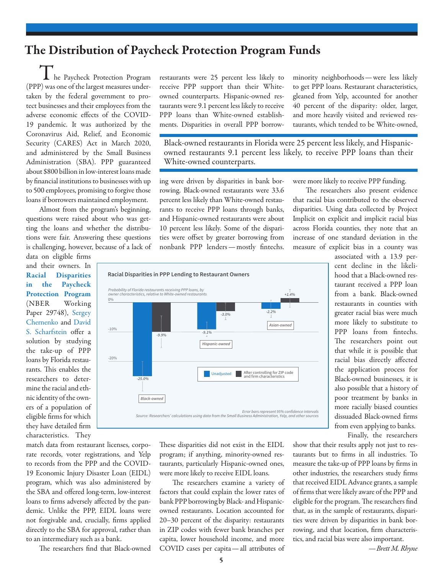### The Distribution of Paycheck Protection Program Funds

 $\blacksquare$  he Paycheck Protection Program (PPP) was one of the largest measures undertaken by the federal government to protect businesses and their employees from the adverse economic effects of the COVID-19 pandemic. It was authorized by the Coronavirus Aid, Relief, and Economic Security (CARES) Act in March 2020, and administered by the Small Business Administration (SBA). PPP guaranteed about \$800 billion in low-interest loans made by financial institutions to businesses with up to 500 employees, promising to forgive those loans if borrowers maintained employment.

Almost from the program's beginning, questions were raised about who was getting the loans and whether the distributions were fair. Answering these questions is challenging, however, because of a lack of

data on eligible firms and their owners. In [Racial Disparities](https://www.nber.org/papers/w29748) [in the Paycheck](https://www.nber.org/papers/w29748) [Protection Program](https://www.nber.org/papers/w29748) (NBER Working Paper 29748), [Sergey](https://www.nber.org/people/sergey_chernenko?page=1&perPage=50) [Chernenko](https://www.nber.org/people/sergey_chernenko?page=1&perPage=50) and [David](https://www.nber.org/people/david_scharfstein?page=1&perPage=50) [S. Scharfstein](https://www.nber.org/people/david_scharfstein?page=1&perPage=50) offer a solution by studying the take-up of PPP loans by Florida restaurants. This enables the researchers to determine the racial and ethnic identity of the owners of a population of eligible firms for which they have detailed firm characteristics. They restaurants were 25 percent less likely to receive PPP support than their Whiteowned counterparts. Hispanic-owned restaurants were 9.1 percent less likely to receive PPP loans than White-owned establishments. Disparities in overall PPP borrowminority neighborhoods—were less likely to get PPP loans. Restaurant characteristics, gleaned from Yelp, accounted for another 40 percent of the disparity: older, larger, and more heavily visited and reviewed restaurants, which tended to be White-owned,

Black-owned restaurants in Florida were 25 percent less likely, and Hispanicowned restaurants 9.1 percent less likely, to receive PPP loans than their White-owned counterparts.

ing were driven by disparities in bank borrowing. Black-owned restaurants were 33.6 percent less likely than White-owned restaurants to receive PPP loans through banks, and Hispanic-owned restaurants were about 10 percent less likely. Some of the disparities were offset by greater borrowing from nonbank PPP lenders—mostly fintechs.

were more likely to receive PPP funding.

The researchers also present evidence that racial bias contributed to the observed disparities. Using data collected by Project Implicit on explicit and implicit racial bias across Florida counties, they note that an increase of one standard deviation in the measure of explicit bias in a county was



match data from restaurant licenses, corporate records, voter registrations, and Yelp to records from the PPP and the COVID-19 Economic Injury Disaster Loan (EIDL) program, which was also administered by the SBA and offered long-term, low-interest loans to firms adversely affected by the pandemic. Unlike the PPP, EIDL loans were not forgivable and, crucially, firms applied directly to the SBA for approval, rather than to an intermediary such as a bank.

The researchers find that Black-owned

These disparities did not exist in the EIDL program; if anything, minority-owned restaurants, particularly Hispanic-owned ones, were more likely to receive EIDL loans.

The researchers examine a variety of factors that could explain the lower rates of bank PPP borrowing by Black- and Hispanicowned restaurants. Location accounted for 20–30 percent of the disparity: restaurants in ZIP codes with fewer bank branches per capita, lower household income, and more COVID cases per capita—all attributes of

associated with a 13.9 percent decline in the likelihood that a Black-owned restaurant received a PPP loan from a bank. Black-owned restaurants in counties with greater racial bias were much more likely to substitute to PPP loans from fintechs. The researchers point out that while it is possible that racial bias directly affected the application process for Black-owned businesses, it is also possible that a history of poor treatment by banks in more racially biased counties dissuaded Black-owned firms from even applying to banks.

Finally, the researchers show that their results apply not just to restaurants but to firms in all industries. To measure the take-up of PPP loans by firms in other industries, the researchers study firms that received EIDL Advance grants, a sample of firms that were likely aware of the PPP and eligible for the program. The researchers find that, as in the sample of restaurants, disparities were driven by disparities in bank borrowing, and that location, firm characteristics, and racial bias were also important.

*—Brett M. Rhyne*